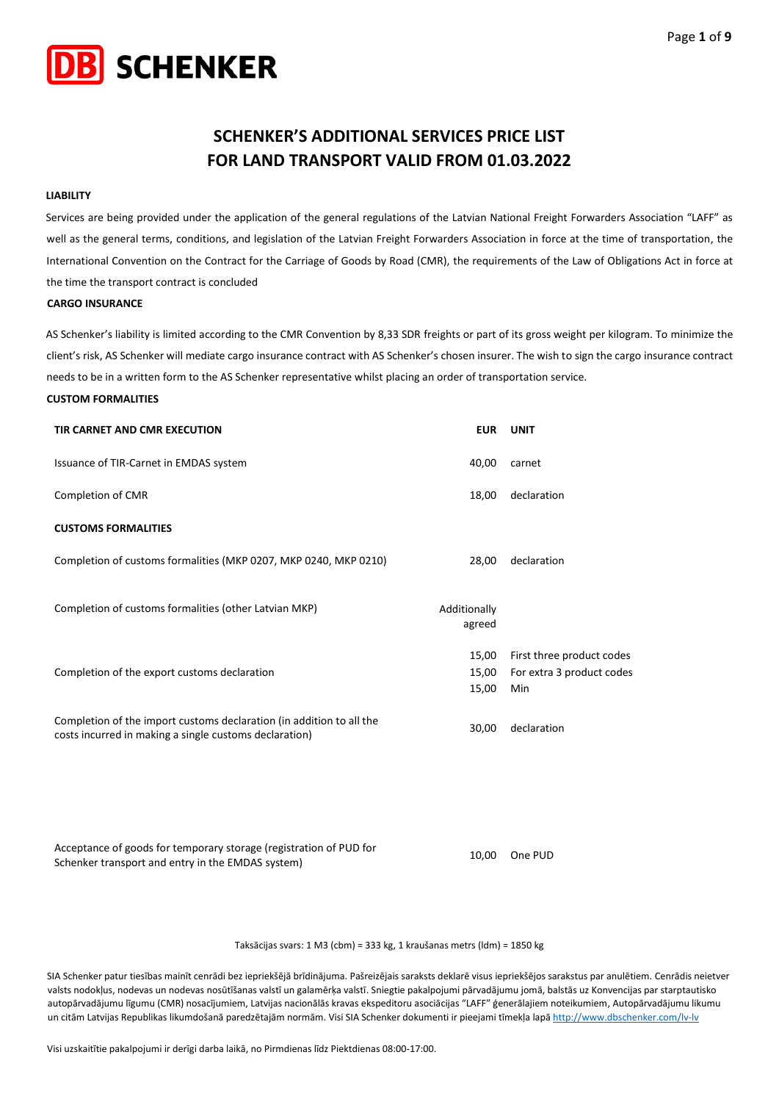

# **SCHENKER'S ADDITIONAL SERVICES PRICE LIST FOR LAND TRANSPORT VALID FROM 01.03.2022**

#### **LIABILITY**

Services are being provided under the application of the general regulations of the Latvian National Freight Forwarders Association "LAFF" as well as the general terms, conditions, and legislation of the Latvian Freight Forwarders Association in force at the time of transportation, the International Convention on the Contract for the Carriage of Goods by Road (CMR), the requirements of the Law of Obligations Act in force at the time the transport contract is concluded

#### **CARGO INSURANCE**

AS Schenker's liability is limited according to the CMR Convention by 8,33 SDR freights or part of its gross weight per kilogram. To minimize the client's risk, AS Schenker will mediate cargo insurance contract with AS Schenker's chosen insurer. The wish to sign the cargo insurance contract needs to be in a written form to the AS Schenker representative whilst placing an order of transportation service.

#### **CUSTOM FORMALITIES**

| TIR CARNET AND CMR EXECUTION                                                                                                   | <b>EUR</b>              | UNIT                                                          |
|--------------------------------------------------------------------------------------------------------------------------------|-------------------------|---------------------------------------------------------------|
| Issuance of TIR-Carnet in EMDAS system                                                                                         | 40,00                   | carnet                                                        |
| Completion of CMR                                                                                                              | 18,00                   | declaration                                                   |
| <b>CUSTOMS FORMALITIES</b>                                                                                                     |                         |                                                               |
| Completion of customs formalities (MKP 0207, MKP 0240, MKP 0210)                                                               | 28,00                   | declaration                                                   |
| Completion of customs formalities (other Latvian MKP)                                                                          | Additionally<br>agreed  |                                                               |
| Completion of the export customs declaration                                                                                   | 15,00<br>15,00<br>15,00 | First three product codes<br>For extra 3 product codes<br>Min |
| Completion of the import customs declaration (in addition to all the<br>costs incurred in making a single customs declaration) | 30,00                   | declaration                                                   |

Acceptance of goods for temporary storage (registration of PUD for Acceptance or goods for temporary storage (registration or POD for the company of the PUD Schenker transport and entry in the EMDAS system)

Taksācijas svars: 1 M3 (cbm) = 333 kg, 1 kraušanas metrs (ldm) = 1850 kg

SIA Schenker patur tiesības mainīt cenrādi bez iepriekšējā brīdinājuma. Pašreizējais saraksts deklarē visus iepriekšējos sarakstus par anulētiem. Cenrādis neietver valsts nodokļus, nodevas un nodevas nosūtīšanas valstī un galamērķa valstī. Sniegtie pakalpojumi pārvadājumu jomā, balstās uz Konvencijas par starptautisko autopārvadājumu līgumu (CMR) nosacījumiem, Latvijas nacionālās kravas ekspeditoru asociācijas "LAFF" ģenerālajiem noteikumiem, Autopārvadājumu likumu un citām Latvijas Republikas likumdošanā paredzētajām normām. Visi SIA Schenker dokumenti ir pieejami tīmekļa lapā <http://www.dbschenker.com/lv-lv>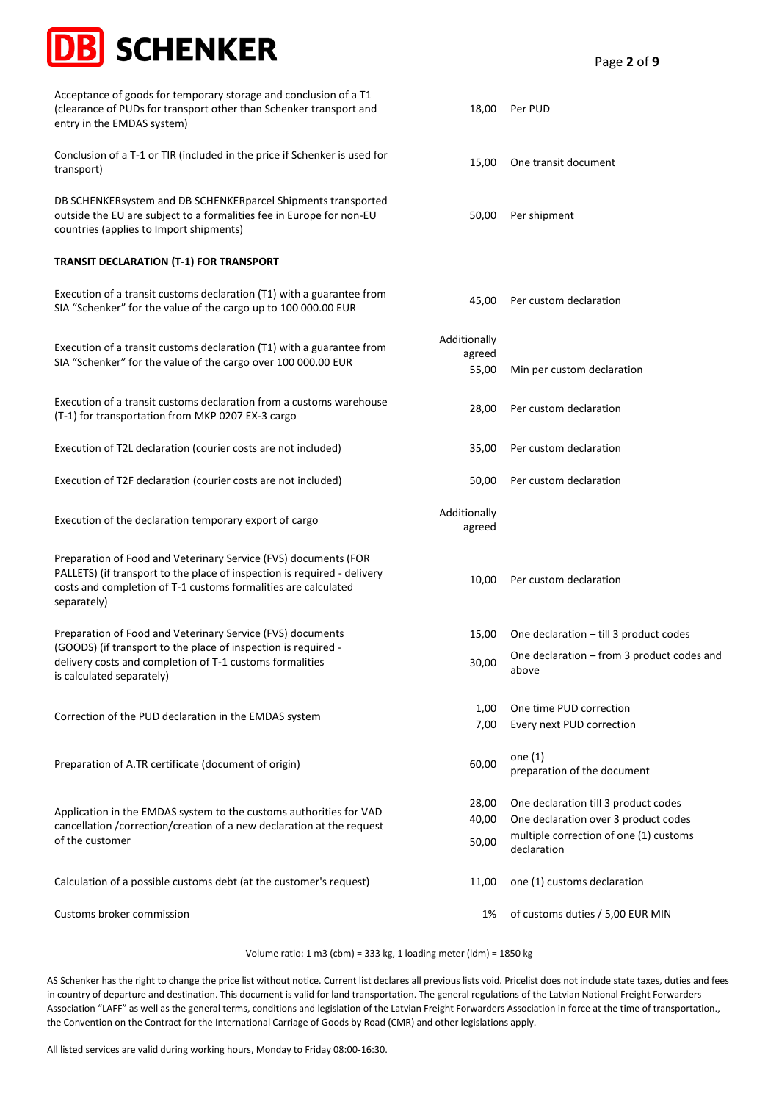# **SCHENKER**

Acceptance of goods for temporary storage and conclusion of a T1 (clearance of PUDs for transport other than Schenker transport and entry in the EMDAS system)

Conclusion of a T-1 or TIR (included in the price if Schenker is used for transport) to a 1-1 of the (included in the price if schenker is used for the contrast of transit document transport)

DB SCHENKERsystem and DB SCHENKERparcel Shipments transported outside the EU are subject to a formalities fee in Europe for non-EU countries (applies to Import shipments)

# **TRANSIT DECLARATION (T-1) FOR TRANSPORT**

Execution of a transit customs declaration (T1) with a guarantee from SIA "Schenker" for the value of the cargo up to 100 000.00 EUR 45,00 Per custom declaration

Execution of a transit customs declaration (T1) with a guarantee from SIA "Schenker" for the value of the cargo over 100 000.00 EUR

Execution of a transit customs declaration from a customs warehouse Execution of a transit customs declaration from a customs warehouse execution of the custom declaration<br>(T-1) for transportation from MKP 0207 EX-3 cargo

Execution of T2L declaration (courier costs are not included) 35,00 Per custom declaration

Execution of T2F declaration (courier costs are not included) 50,00 Per custom declaration

Execution of the declaration temporary export of cargo **Additionally** Additionally

Preparation of Food and Veterinary Service (FVS) documents (FOR PALLETS) (if transport to the place of inspection is required - delivery costs and completion of T-1 customs formalities are calculated separately)

Preparation of Food and Veterinary Service (FVS) documents (GOODS) (if transport to the place of inspection is required delivery costs and completion of T-1 customs formalities is calculated separately)

Correction of the PUD declaration in the EMDAS system

Preparation of A.TR certificate (document of origin) 60,00 one (1)

Application in the EMDAS system to the customs authorities for VAD cancellation /correction/creation of a new declaration at the request of the customer

Calculation of a possible customs debt (at the customer's request) 11,00 one (1) customs declaration

Customs broker commission 1% of customs duties / 5,00 EUR MIN

Volume ratio: 1 m3 (cbm) = 333 kg, 1 loading meter (ldm) = 1850 kg

AS Schenker has the right to change the price list without notice. Current list declares all previous lists void. Pricelist does not include state taxes, duties and fees in country of departure and destination. This document is valid for land transportation. The general regulations of the Latvian National Freight Forwarders Association "LAFF" as well as the general terms, conditions and legislation of the Latvian Freight Forwarders Association in force at the time of transportation., the Convention on the Contract for the International Carriage of Goods by Road (CMR) and other legislations apply.

All listed services are valid during working hours, Monday to Friday 08:00-16:30.

18,00 Per PUD

50,00 Per shipment

55,00 Min per custom declaration

10,00 Per custom declaration

1,00 One time PUD correction 7,00 Every next PUD correction

declaration

above

15,00 One declaration – till 3 product codes

preparation of the document

28,00 One declaration till 3 product codes 40,00 One declaration over 3 product codes 50,00 multiple correction of one (1) customs

30,00 One declaration – from 3 product codes and

Additionally agreed

agreed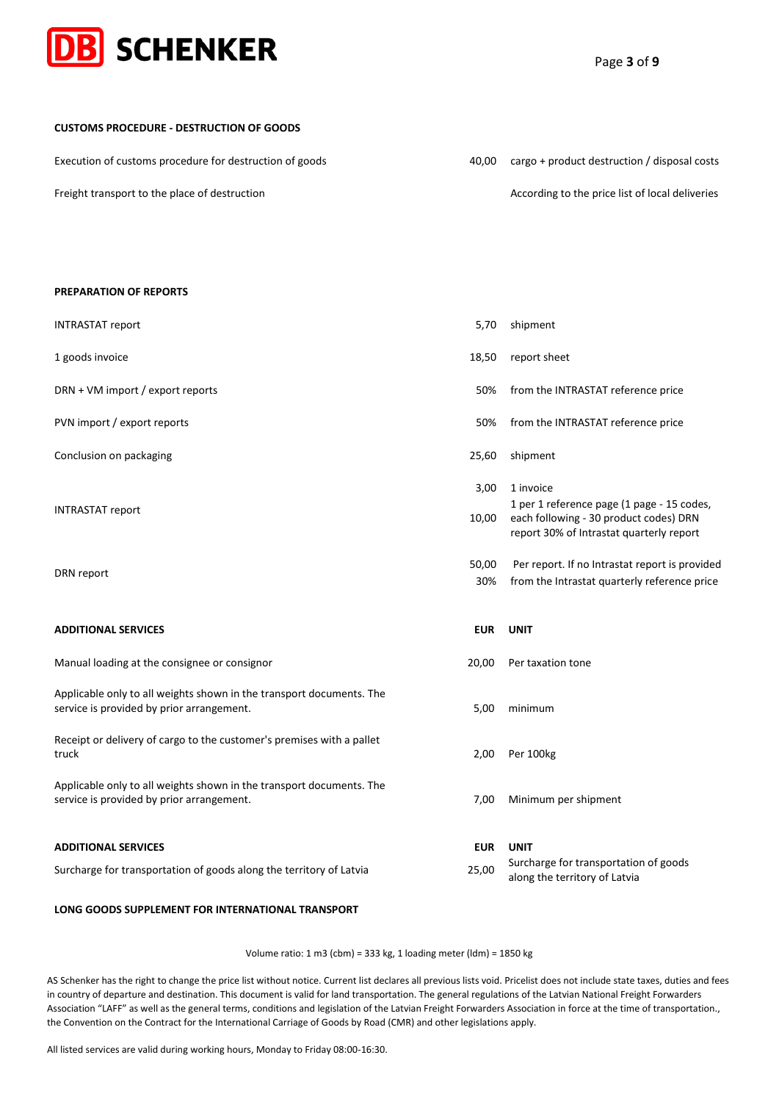

**CUSTOMS PROCEDURE - DESTRUCTION OF GOODS**

| Execution of customs procedure for destruction of goods | 40.00 | cargo + product destruction / disposal costs    |
|---------------------------------------------------------|-------|-------------------------------------------------|
| Freight transport to the place of destruction           |       | According to the price list of local deliveries |

#### **PREPARATION OF REPORTS**

| <b>INTRASTAT report</b>                                                                                           | 5,70          | shipment                                                                                                                                      |
|-------------------------------------------------------------------------------------------------------------------|---------------|-----------------------------------------------------------------------------------------------------------------------------------------------|
| 1 goods invoice                                                                                                   | 18,50         | report sheet                                                                                                                                  |
| DRN + VM import / export reports                                                                                  | 50%           | from the INTRASTAT reference price                                                                                                            |
| PVN import / export reports                                                                                       | 50%           | from the INTRASTAT reference price                                                                                                            |
| Conclusion on packaging                                                                                           | 25,60         | shipment                                                                                                                                      |
| <b>INTRASTAT report</b>                                                                                           | 3,00<br>10,00 | 1 invoice<br>1 per 1 reference page (1 page - 15 codes,<br>each following - 30 product codes) DRN<br>report 30% of Intrastat quarterly report |
| DRN report                                                                                                        | 50,00<br>30%  | Per report. If no Intrastat report is provided<br>from the Intrastat quarterly reference price                                                |
|                                                                                                                   |               |                                                                                                                                               |
| <b>ADDITIONAL SERVICES</b>                                                                                        | <b>EUR</b>    | <b>UNIT</b>                                                                                                                                   |
| Manual loading at the consignee or consignor                                                                      | 20,00         | Per taxation tone                                                                                                                             |
| Applicable only to all weights shown in the transport documents. The<br>service is provided by prior arrangement. | 5,00          | minimum                                                                                                                                       |
| Receipt or delivery of cargo to the customer's premises with a pallet<br>truck                                    | 2,00          | Per 100kg                                                                                                                                     |
| Applicable only to all weights shown in the transport documents. The<br>service is provided by prior arrangement. | 7,00          | Minimum per shipment                                                                                                                          |
| <b>ADDITIONAL SERVICES</b>                                                                                        | <b>EUR</b>    | <b>UNIT</b>                                                                                                                                   |

# **LONG GOODS SUPPLEMENT FOR INTERNATIONAL TRANSPORT**

Volume ratio: 1 m3 (cbm) = 333 kg, 1 loading meter (ldm) = 1850 kg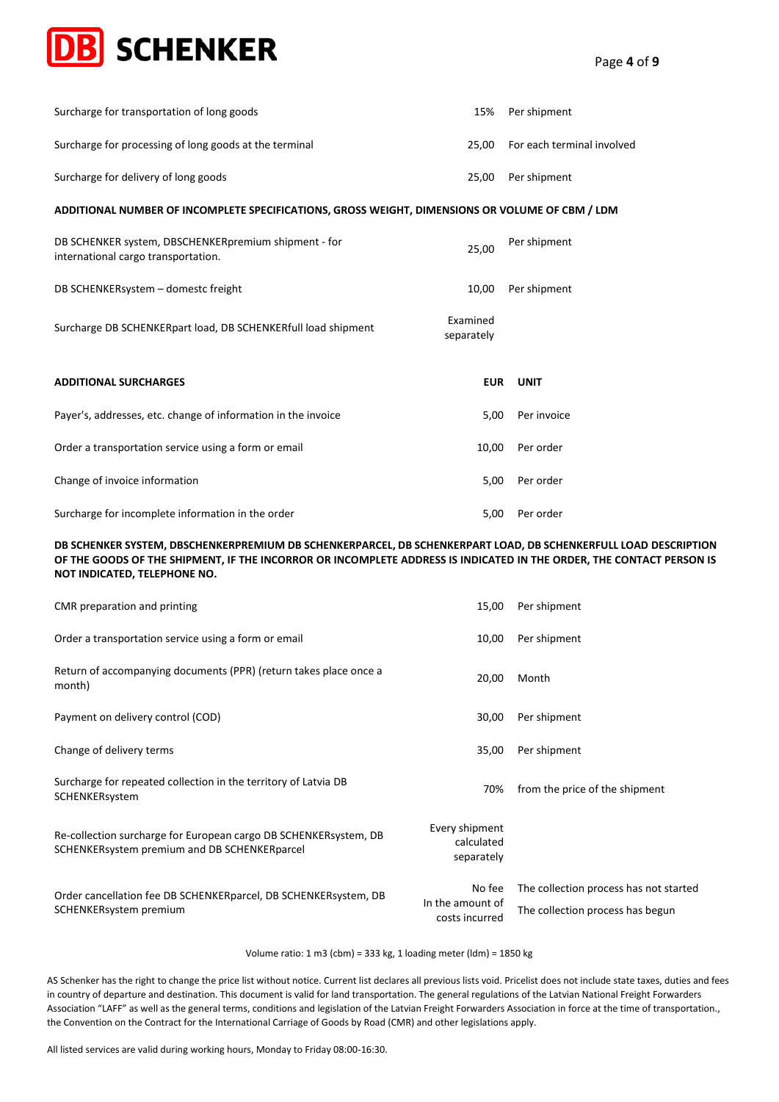

| Surcharge for transportation of long goods                                                      | 15%                    | Per shipment               |
|-------------------------------------------------------------------------------------------------|------------------------|----------------------------|
| Surcharge for processing of long goods at the terminal                                          | 25.00                  | For each terminal involved |
| Surcharge for delivery of long goods                                                            | 25,00                  | Per shipment               |
| ADDITIONAL NUMBER OF INCOMPLETE SPECIFICATIONS, GROSS WEIGHT, DIMENSIONS OR VOLUME OF CBM / LDM |                        |                            |
| DB SCHENKER system, DBSCHENKERpremium shipment - for<br>international cargo transportation.     | 25,00                  | Per shipment               |
| DB SCHENKERsystem - domestc freight                                                             | 10,00                  | Per shipment               |
| Surcharge DB SCHENKERpart load, DB SCHENKERfull load shipment                                   | Examined<br>separately |                            |
| <b>ADDITIONAL SURCHARGES</b>                                                                    | <b>EUR</b>             | <b>UNIT</b>                |
| Payer's, addresses, etc. change of information in the invoice                                   | 5,00                   | Per invoice                |
| Order a transportation service using a form or email                                            | 10,00                  | Per order                  |
| Change of invoice information                                                                   | 5,00                   | Per order                  |
| Surcharge for incomplete information in the order                                               | 5,00                   | Per order                  |

### **DB SCHENKER SYSTEM, DBSCHENKERPREMIUM DB SCHENKERPARCEL, DB SCHENKERPART LOAD, DB SCHENKERFULL LOAD DESCRIPTION OF THE GOODS OF THE SHIPMENT, IF THE INCORROR OR INCOMPLETE ADDRESS IS INDICATED IN THE ORDER, THE CONTACT PERSON IS NOT INDICATED, TELEPHONE NO.**

| CMR preparation and printing                                                                                     | 15,00                                      | Per shipment                           |
|------------------------------------------------------------------------------------------------------------------|--------------------------------------------|----------------------------------------|
| Order a transportation service using a form or email                                                             | 10,00                                      | Per shipment                           |
| Return of accompanying documents (PPR) (return takes place once a<br>month)                                      | 20,00                                      | Month                                  |
| Payment on delivery control (COD)                                                                                | 30,00                                      | Per shipment                           |
| Change of delivery terms                                                                                         | 35,00                                      | Per shipment                           |
| Surcharge for repeated collection in the territory of Latvia DB<br>SCHENKERsystem                                | 70%                                        | from the price of the shipment         |
| Re-collection surcharge for European cargo DB SCHENKERsystem, DB<br>SCHENKERsystem premium and DB SCHENKERparcel | Every shipment<br>calculated<br>separately |                                        |
| Order cancellation fee DB SCHENKERparcel, DB SCHENKERsystem, DB                                                  | No fee<br>In the amount of                 | The collection process has not started |
| SCHENKERsystem premium                                                                                           | costs incurred                             | The collection process has begun       |

#### Volume ratio: 1 m3 (cbm) = 333 kg, 1 loading meter (ldm) = 1850 kg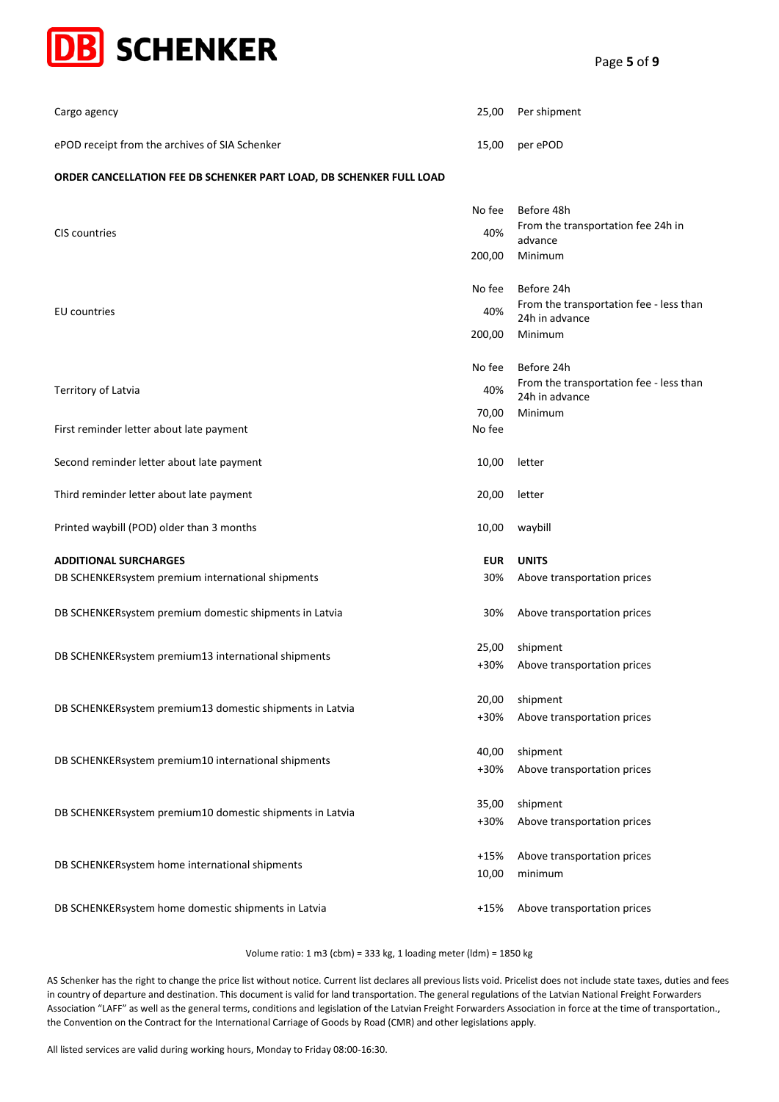

| Cargo agency                                   | 25,00 Per shipment |
|------------------------------------------------|--------------------|
| ePOD receipt from the archives of SIA Schenker | 15,00 per ePOD     |

# **ORDER CANCELLATION FEE DB SCHENKER PART LOAD, DB SCHENKER FULL LOAD**

| No fee     | Before 48h                                                |
|------------|-----------------------------------------------------------|
| 40%        | From the transportation fee 24h in<br>advance             |
| 200,00     | Minimum                                                   |
| No fee     | Before 24h                                                |
| 40%        | From the transportation fee - less than<br>24h in advance |
| 200,00     | Minimum                                                   |
| No fee     | Before 24h                                                |
| 40%        | From the transportation fee - less than<br>24h in advance |
| 70,00      | Minimum                                                   |
| No fee     |                                                           |
| 10,00      | letter                                                    |
| 20,00      | letter                                                    |
| 10,00      | waybill                                                   |
| <b>EUR</b> | <b>UNITS</b>                                              |
| 30%        | Above transportation prices                               |
| 30%        | Above transportation prices                               |
| 25,00      | shipment                                                  |
| +30%       | Above transportation prices                               |
| 20,00      | shipment                                                  |
| $+30%$     | Above transportation prices                               |
| 40,00      | shipment                                                  |
| +30%       | Above transportation prices                               |
|            | shipment                                                  |
| +30%       | Above transportation prices                               |
| $+15%$     | Above transportation prices                               |
| 10,00      | minimum                                                   |
| $+15%$     | Above transportation prices                               |
|            | 35,00                                                     |

Volume ratio: 1 m3 (cbm) = 333 kg, 1 loading meter (ldm) = 1850 kg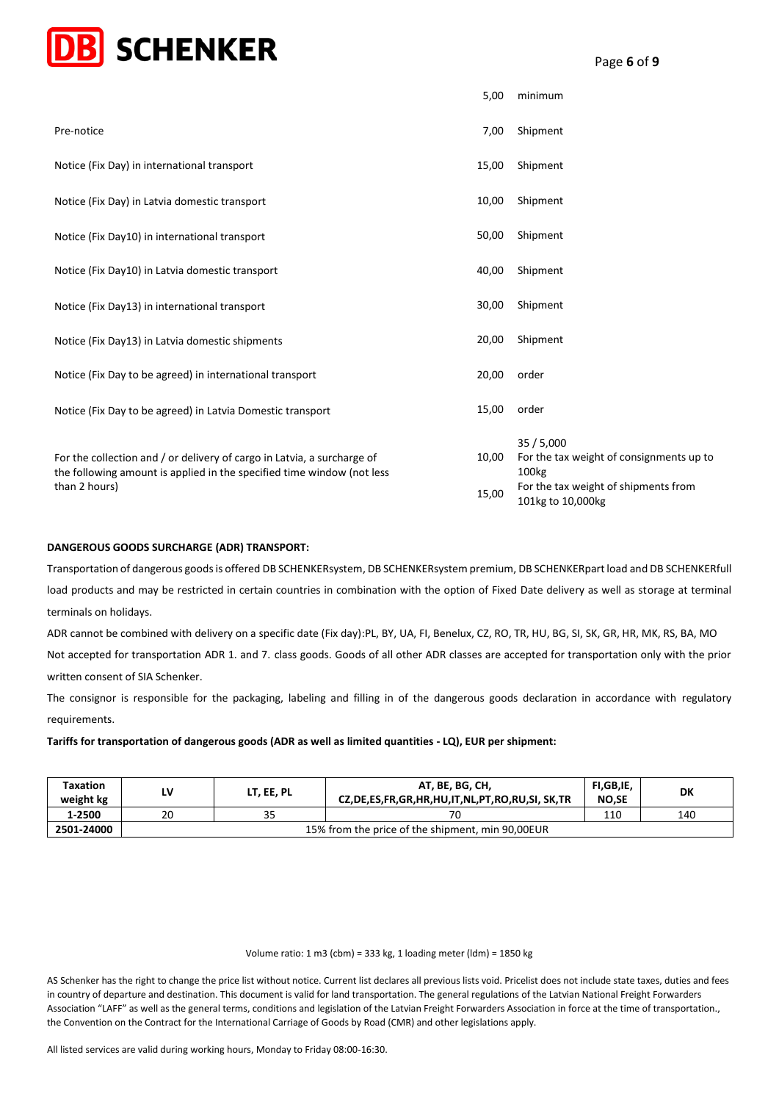

|                                                                                                                                                   | 5,00  | minimum                                                                   |
|---------------------------------------------------------------------------------------------------------------------------------------------------|-------|---------------------------------------------------------------------------|
| Pre-notice                                                                                                                                        | 7,00  | Shipment                                                                  |
| Notice (Fix Day) in international transport                                                                                                       | 15,00 | Shipment                                                                  |
| Notice (Fix Day) in Latvia domestic transport                                                                                                     | 10,00 | Shipment                                                                  |
| Notice (Fix Day10) in international transport                                                                                                     | 50,00 | Shipment                                                                  |
| Notice (Fix Day10) in Latvia domestic transport                                                                                                   | 40,00 | Shipment                                                                  |
| Notice (Fix Day13) in international transport                                                                                                     | 30,00 | Shipment                                                                  |
| Notice (Fix Day13) in Latvia domestic shipments                                                                                                   | 20,00 | Shipment                                                                  |
| Notice (Fix Day to be agreed) in international transport                                                                                          | 20,00 | order                                                                     |
| Notice (Fix Day to be agreed) in Latvia Domestic transport                                                                                        | 15,00 | order                                                                     |
| For the collection and / or delivery of cargo in Latvia, a surcharge of<br>the following amount is applied in the specified time window (not less | 10,00 | 35/5,000<br>For the tax weight of consignments up to<br>100 <sub>kg</sub> |
| than 2 hours)                                                                                                                                     | 15,00 | For the tax weight of shipments from<br>101kg to 10,000kg                 |

#### **DANGEROUS GOODS SURCHARGE (ADR) TRANSPORT:**

Transportation of dangerous goods is offered DB SCHENKERsystem, DB SCHENKERsystem premium, DB SCHENKERpart load and DB SCHENKERfull load products and may be restricted in certain countries in combination with the option of Fixed Date delivery as well as storage at terminal terminals on holidays.

ADR cannot be combined with delivery on a specific date (Fix day):PL, BY, UA, FI, Benelux, CZ, RO, TR, HU, BG, SI, SK, GR, HR, MK, RS, BA, MO Not accepted for transportation ADR 1. and 7. class goods. Goods of all other ADR classes are accepted for transportation only with the prior written consent of SIA Schenker.

The consignor is responsible for the packaging, labeling and filling in of the dangerous goods declaration in accordance with regulatory requirements.

**Tariffs for transportation of dangerous goods (ADR as well as limited quantities - LQ), EUR per shipment:**

| <b>Taxation</b><br>weight kg |                                                  | LT, EE, PL | AT, BE, BG, CH,<br>CZ, DE, ES, FR, GR, HR, HU, IT, NL, PT, RO, RU, SI, SK, TR | FI,GB,IE,<br><b>NO,SE</b> | DK  |  |
|------------------------------|--------------------------------------------------|------------|-------------------------------------------------------------------------------|---------------------------|-----|--|
| 1-2500                       | 20                                               | 35         |                                                                               | 110                       | 140 |  |
| 2501-24000                   | 15% from the price of the shipment, min 90,00EUR |            |                                                                               |                           |     |  |

#### Volume ratio: 1 m3 (cbm) = 333 kg, 1 loading meter (ldm) = 1850 kg

AS Schenker has the right to change the price list without notice. Current list declares all previous lists void. Pricelist does not include state taxes, duties and fees in country of departure and destination. This document is valid for land transportation. The general regulations of the Latvian National Freight Forwarders Association "LAFF" as well as the general terms, conditions and legislation of the Latvian Freight Forwarders Association in force at the time of transportation., the Convention on the Contract for the International Carriage of Goods by Road (CMR) and other legislations apply.

All listed services are valid during working hours, Monday to Friday 08:00-16:30.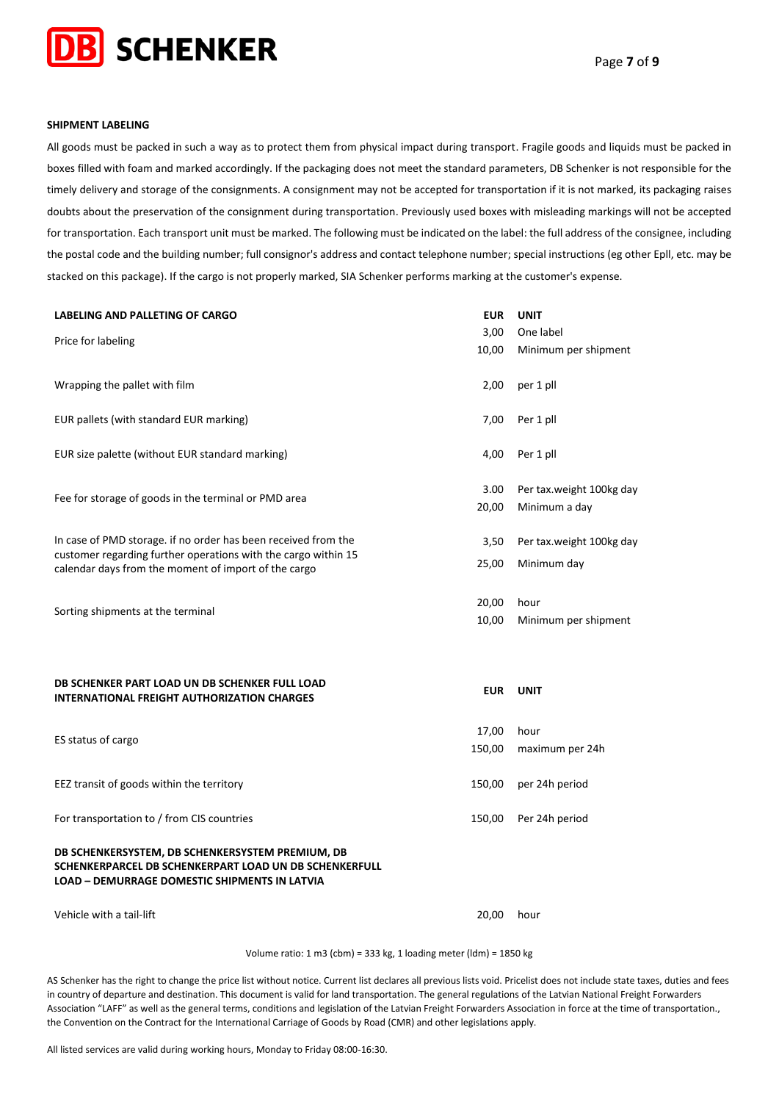

#### **SHIPMENT LABELING**

All goods must be packed in such a way as to protect them from physical impact during transport. Fragile goods and liquids must be packed in boxes filled with foam and marked accordingly. If the packaging does not meet the standard parameters, DB Schenker is not responsible for the timely delivery and storage of the consignments. A consignment may not be accepted for transportation if it is not marked, its packaging raises doubts about the preservation of the consignment during transportation. Previously used boxes with misleading markings will not be accepted for transportation. Each transport unit must be marked. The following must be indicated on the label: the full address of the consignee, including the postal code and the building number; full consignor's address and contact telephone number; special instructions (eg other Epll, etc. may be stacked on this package). If the cargo is not properly marked, SIA Schenker performs marking at the customer's expense.

| <b>LABELING AND PALLETING OF CARGO</b>                                                                                                                             | <b>EUR</b> | <b>UNIT</b>              |
|--------------------------------------------------------------------------------------------------------------------------------------------------------------------|------------|--------------------------|
| Price for labeling                                                                                                                                                 | 3,00       | One label                |
|                                                                                                                                                                    | 10,00      | Minimum per shipment     |
| Wrapping the pallet with film                                                                                                                                      | 2,00       | per 1 pll                |
| EUR pallets (with standard EUR marking)                                                                                                                            | 7,00       | Per 1 pll                |
| EUR size palette (without EUR standard marking)                                                                                                                    | 4,00       | Per 1 pll                |
| Fee for storage of goods in the terminal or PMD area                                                                                                               | 3.00       | Per tax.weight 100kg day |
|                                                                                                                                                                    | 20,00      | Minimum a day            |
| In case of PMD storage. if no order has been received from the                                                                                                     | 3,50       | Per tax.weight 100kg day |
| customer regarding further operations with the cargo within 15<br>calendar days from the moment of import of the cargo                                             | 25,00      | Minimum day              |
| Sorting shipments at the terminal                                                                                                                                  | 20,00      | hour                     |
|                                                                                                                                                                    | 10,00      | Minimum per shipment     |
| DB SCHENKER PART LOAD UN DB SCHENKER FULL LOAD                                                                                                                     |            |                          |
| <b>INTERNATIONAL FREIGHT AUTHORIZATION CHARGES</b>                                                                                                                 | <b>EUR</b> | <b>UNIT</b>              |
|                                                                                                                                                                    | 17,00      | hour                     |
| ES status of cargo                                                                                                                                                 | 150,00     | maximum per 24h          |
| EEZ transit of goods within the territory                                                                                                                          | 150,00     | per 24h period           |
| For transportation to / from CIS countries                                                                                                                         | 150,00     | Per 24h period           |
| DB SCHENKERSYSTEM, DB SCHENKERSYSTEM PREMIUM, DB<br>SCHENKERPARCEL DB SCHENKERPART LOAD UN DB SCHENKERFULL<br><b>LOAD - DEMURRAGE DOMESTIC SHIPMENTS IN LATVIA</b> |            |                          |
| Vehicle with a tail-lift                                                                                                                                           | 20.00      | hour                     |

Volume ratio: 1 m3 (cbm) = 333 kg, 1 loading meter (ldm) = 1850 kg

AS Schenker has the right to change the price list without notice. Current list declares all previous lists void. Pricelist does not include state taxes, duties and fees in country of departure and destination. This document is valid for land transportation. The general regulations of the Latvian National Freight Forwarders Association "LAFF" as well as the general terms, conditions and legislation of the Latvian Freight Forwarders Association in force at the time of transportation., the Convention on the Contract for the International Carriage of Goods by Road (CMR) and other legislations apply.

All listed services are valid during working hours, Monday to Friday 08:00-16:30.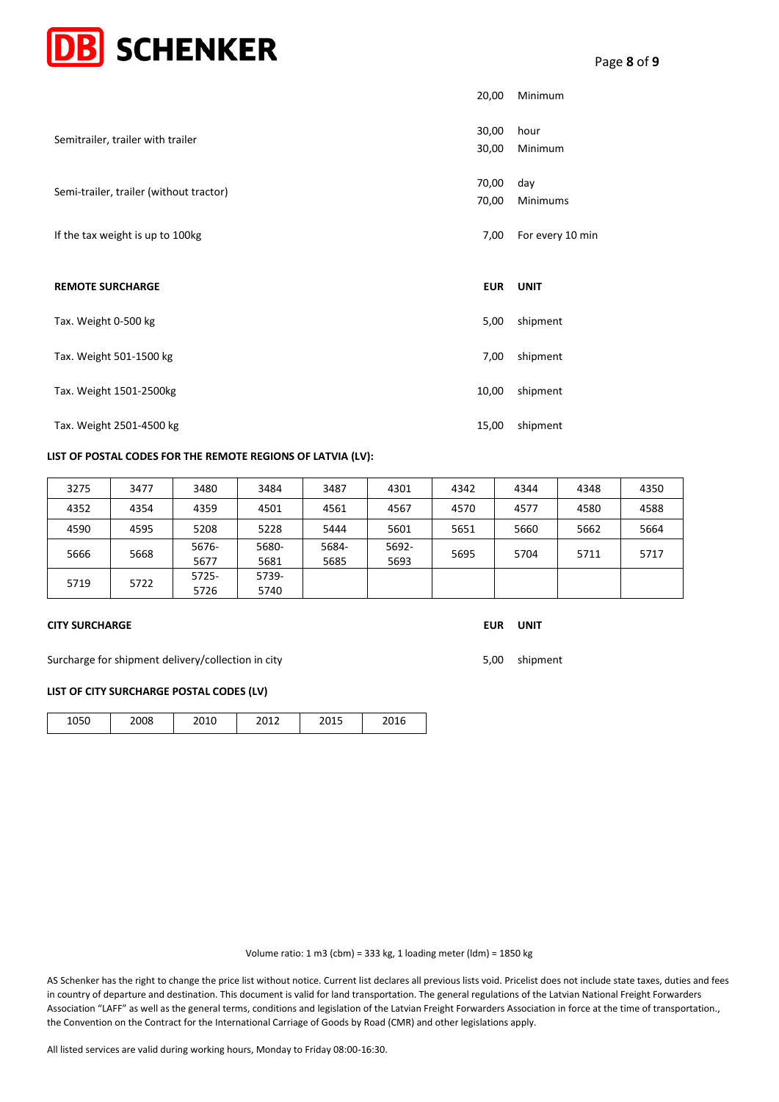| <b>DB</b> SCHENKER                      |                |                  |
|-----------------------------------------|----------------|------------------|
|                                         | 20,00          | Minimum          |
| Semitrailer, trailer with trailer       | 30,00<br>30,00 | hour<br>Minimum  |
| Semi-trailer, trailer (without tractor) | 70,00<br>70,00 | day<br>Minimums  |
| If the tax weight is up to 100kg        | 7,00           | For every 10 min |
| <b>REMOTE SURCHARGE</b>                 | <b>EUR</b>     | <b>UNIT</b>      |
| Tax. Weight 0-500 kg                    | 5,00           | shipment         |
| Tax. Weight 501-1500 kg                 | 7,00           | shipment         |
| Tax. Weight 1501-2500kg                 | 10,00          | shipment         |
| Tax. Weight 2501-4500 kg                | 15,00          | shipment         |

# **LIST OF POSTAL CODES FOR THE REMOTE REGIONS OF LATVIA (LV):**

| 3275 | 3477 | 3480          | 3484          | 3487          | 4301          | 4342 | 4344 | 4348 | 4350 |
|------|------|---------------|---------------|---------------|---------------|------|------|------|------|
| 4352 | 4354 | 4359          | 4501          | 4561          | 4567          | 4570 | 4577 | 4580 | 4588 |
| 4590 | 4595 | 5208          | 5228          | 5444          | 5601          | 5651 | 5660 | 5662 | 5664 |
| 5666 | 5668 | 5676-<br>5677 | 5680-<br>5681 | 5684-<br>5685 | 5692-<br>5693 | 5695 | 5704 | 5711 | 5717 |
| 5719 | 5722 | 5725-<br>5726 | 5739-<br>5740 |               |               |      |      |      |      |

#### **CITY SURCHARGE EUR UNIT**

Surcharge for shipment delivery/collection in city 5,00 shipment 5,00 shipment

# **LIST OF CITY SURCHARGE POSTAL CODES (LV)**

| 1050 | 2008 | 2010 | 2012 | 2015 | 2016 |  |
|------|------|------|------|------|------|--|

Volume ratio: 1 m3 (cbm) = 333 kg, 1 loading meter (ldm) = 1850 kg

AS Schenker has the right to change the price list without notice. Current list declares all previous lists void. Pricelist does not include state taxes, duties and fees in country of departure and destination. This document is valid for land transportation. The general regulations of the Latvian National Freight Forwarders Association "LAFF" as well as the general terms, conditions and legislation of the Latvian Freight Forwarders Association in force at the time of transportation., the Convention on the Contract for the International Carriage of Goods by Road (CMR) and other legislations apply.

All listed services are valid during working hours, Monday to Friday 08:00-16:30.

Page **8** of **9**